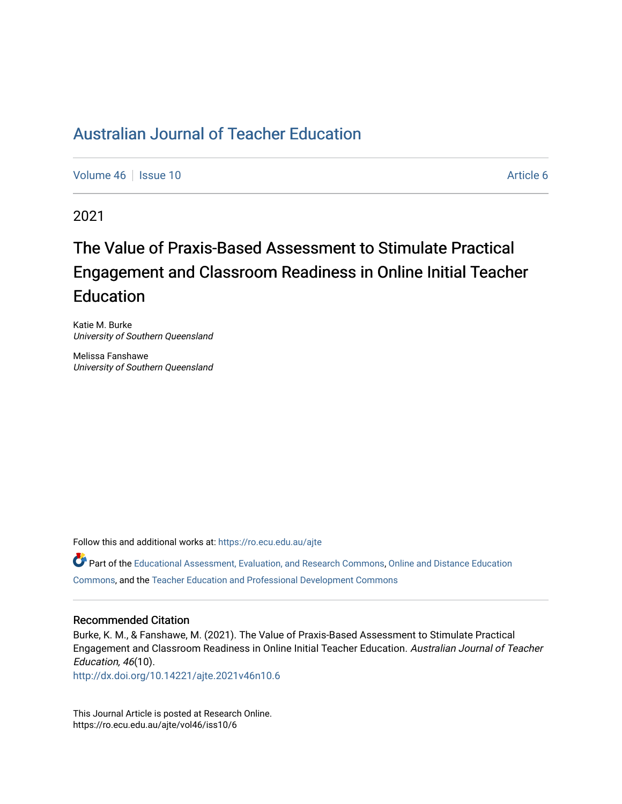# [Australian Journal of Teacher Education](https://ro.ecu.edu.au/ajte)

[Volume 46](https://ro.ecu.edu.au/ajte/vol46) | [Issue 10](https://ro.ecu.edu.au/ajte/vol46/iss10) Article 6

2021

# The Value of Praxis-Based Assessment to Stimulate Practical Engagement and Classroom Readiness in Online Initial Teacher **Education**

Katie M. Burke University of Southern Queensland

Melissa Fanshawe University of Southern Queensland

Follow this and additional works at: [https://ro.ecu.edu.au/ajte](https://ro.ecu.edu.au/ajte?utm_source=ro.ecu.edu.au%2Fajte%2Fvol46%2Fiss10%2F6&utm_medium=PDF&utm_campaign=PDFCoverPages) 

Part of the [Educational Assessment, Evaluation, and Research Commons,](http://network.bepress.com/hgg/discipline/796?utm_source=ro.ecu.edu.au%2Fajte%2Fvol46%2Fiss10%2F6&utm_medium=PDF&utm_campaign=PDFCoverPages) [Online and Distance Education](http://network.bepress.com/hgg/discipline/1296?utm_source=ro.ecu.edu.au%2Fajte%2Fvol46%2Fiss10%2F6&utm_medium=PDF&utm_campaign=PDFCoverPages) [Commons,](http://network.bepress.com/hgg/discipline/1296?utm_source=ro.ecu.edu.au%2Fajte%2Fvol46%2Fiss10%2F6&utm_medium=PDF&utm_campaign=PDFCoverPages) and the [Teacher Education and Professional Development Commons](http://network.bepress.com/hgg/discipline/803?utm_source=ro.ecu.edu.au%2Fajte%2Fvol46%2Fiss10%2F6&utm_medium=PDF&utm_campaign=PDFCoverPages) 

#### Recommended Citation

Burke, K. M., & Fanshawe, M. (2021). The Value of Praxis-Based Assessment to Stimulate Practical Engagement and Classroom Readiness in Online Initial Teacher Education. Australian Journal of Teacher Education, 46(10).

<http://dx.doi.org/10.14221/ajte.2021v46n10.6>

This Journal Article is posted at Research Online. https://ro.ecu.edu.au/ajte/vol46/iss10/6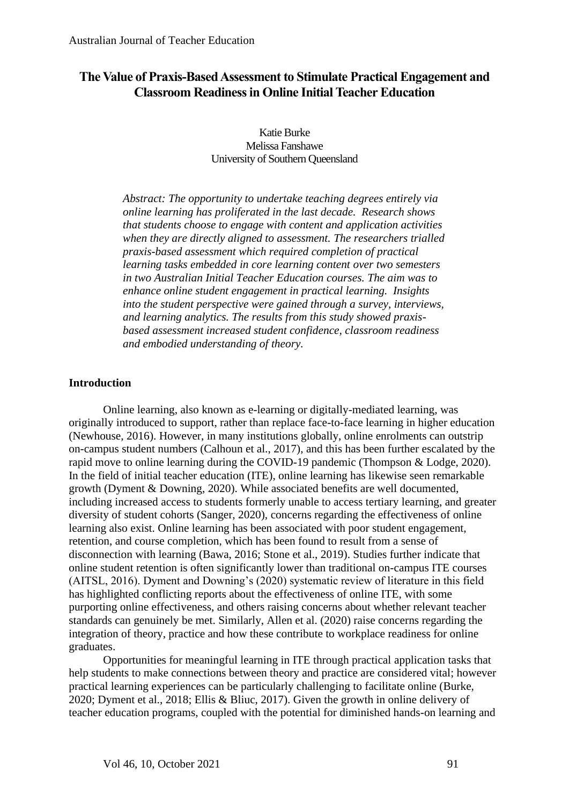# **The Value of Praxis-Based Assessment to Stimulate Practical Engagement and Classroom Readiness in Online Initial Teacher Education**

Katie Burke Melissa Fanshawe University of Southern Queensland

*Abstract: The opportunity to undertake teaching degrees entirely via online learning has proliferated in the last decade. Research shows that students choose to engage with content and application activities when they are directly aligned to assessment. The researchers trialled praxis-based assessment which required completion of practical learning tasks embedded in core learning content over two semesters in two Australian Initial Teacher Education courses. The aim was to enhance online student engagement in practical learning. Insights into the student perspective were gained through a survey, interviews, and learning analytics. The results from this study showed praxisbased assessment increased student confidence, classroom readiness and embodied understanding of theory.* 

#### **Introduction**

Online learning, also known as e-learning or digitally-mediated learning, was originally introduced to support, rather than replace face-to-face learning in higher education (Newhouse, 2016). However, in many institutions globally, online enrolments can outstrip on-campus student numbers (Calhoun et al., 2017), and this has been further escalated by the rapid move to online learning during the COVID-19 pandemic (Thompson & Lodge, 2020). In the field of initial teacher education (ITE), online learning has likewise seen remarkable growth (Dyment & Downing, 2020). While associated benefits are well documented, including increased access to students formerly unable to access tertiary learning, and greater diversity of student cohorts (Sanger, 2020), concerns regarding the effectiveness of online learning also exist. Online learning has been associated with poor student engagement, retention, and course completion, which has been found to result from a sense of disconnection with learning (Bawa, 2016; Stone et al., 2019). Studies further indicate that online student retention is often significantly lower than traditional on-campus ITE courses (AITSL, 2016). Dyment and Downing's (2020) systematic review of literature in this field has highlighted conflicting reports about the effectiveness of online ITE, with some purporting online effectiveness, and others raising concerns about whether relevant teacher standards can genuinely be met. Similarly, Allen et al. (2020) raise concerns regarding the integration of theory, practice and how these contribute to workplace readiness for online graduates.

Opportunities for meaningful learning in ITE through practical application tasks that help students to make connections between theory and practice are considered vital; however practical learning experiences can be particularly challenging to facilitate online (Burke, 2020; Dyment et al., 2018; Ellis & Bliuc, 2017). Given the growth in online delivery of teacher education programs, coupled with the potential for diminished hands-on learning and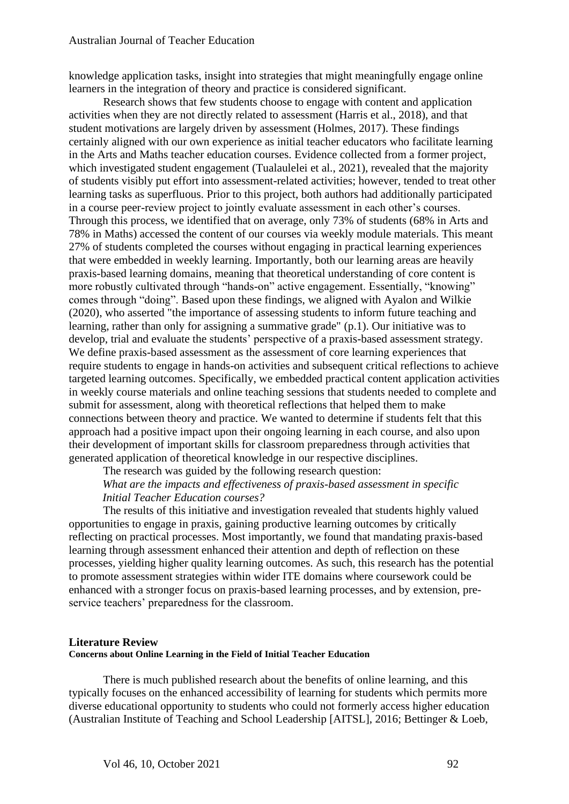knowledge application tasks, insight into strategies that might meaningfully engage online learners in the integration of theory and practice is considered significant.

Research shows that few students choose to engage with content and application activities when they are not directly related to assessment (Harris et al., 2018), and that student motivations are largely driven by assessment (Holmes, 2017). These findings certainly aligned with our own experience as initial teacher educators who facilitate learning in the Arts and Maths teacher education courses. Evidence collected from a former project, which investigated student engagement (Tualaulelei et al., 2021), revealed that the majority of students visibly put effort into assessment-related activities; however, tended to treat other learning tasks as superfluous. Prior to this project, both authors had additionally participated in a course peer-review project to jointly evaluate assessment in each other's courses. Through this process, we identified that on average, only 73% of students (68% in Arts and 78% in Maths) accessed the content of our courses via weekly module materials. This meant 27% of students completed the courses without engaging in practical learning experiences that were embedded in weekly learning. Importantly, both our learning areas are heavily praxis-based learning domains, meaning that theoretical understanding of core content is more robustly cultivated through "hands-on" active engagement. Essentially, "knowing" comes through "doing". Based upon these findings, we aligned with Ayalon and Wilkie (2020), who asserted "the importance of assessing students to inform future teaching and learning, rather than only for assigning a summative grade" (p.1). Our initiative was to develop, trial and evaluate the students' perspective of a praxis-based assessment strategy. We define praxis-based assessment as the assessment of core learning experiences that require students to engage in hands-on activities and subsequent critical reflections to achieve targeted learning outcomes. Specifically, we embedded practical content application activities in weekly course materials and online teaching sessions that students needed to complete and submit for assessment, along with theoretical reflections that helped them to make connections between theory and practice. We wanted to determine if students felt that this approach had a positive impact upon their ongoing learning in each course, and also upon their development of important skills for classroom preparedness through activities that generated application of theoretical knowledge in our respective disciplines.

The research was guided by the following research question: *What are the impacts and effectiveness of praxis-based assessment in specific Initial Teacher Education courses?* 

The results of this initiative and investigation revealed that students highly valued opportunities to engage in praxis, gaining productive learning outcomes by critically reflecting on practical processes. Most importantly, we found that mandating praxis-based learning through assessment enhanced their attention and depth of reflection on these processes, yielding higher quality learning outcomes. As such, this research has the potential to promote assessment strategies within wider ITE domains where coursework could be enhanced with a stronger focus on praxis-based learning processes, and by extension, preservice teachers' preparedness for the classroom.

#### **Literature Review Concerns about Online Learning in the Field of Initial Teacher Education**

There is much published research about the benefits of online learning, and this typically focuses on the enhanced accessibility of learning for students which permits more diverse educational opportunity to students who could not formerly access higher education (Australian Institute of Teaching and School Leadership [AITSL], 2016; Bettinger & Loeb,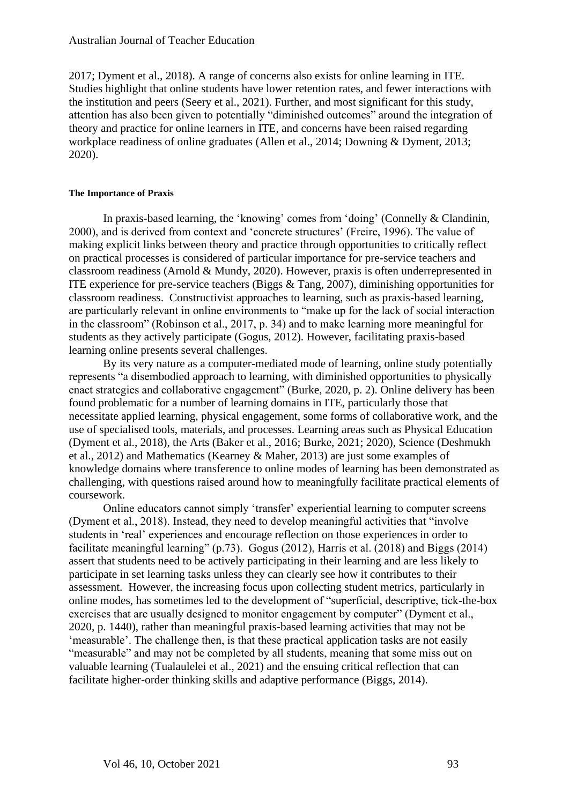2017; Dyment et al., 2018). A range of concerns also exists for online learning in ITE. Studies highlight that online students have lower retention rates, and fewer interactions with the institution and peers (Seery et al., 2021). Further, and most significant for this study, attention has also been given to potentially "diminished outcomes" around the integration of theory and practice for online learners in ITE, and concerns have been raised regarding workplace readiness of online graduates (Allen et al., 2014; Downing & Dyment, 2013; 2020).

#### **The Importance of Praxis**

In praxis-based learning, the 'knowing' comes from 'doing' (Connelly & Clandinin, 2000), and is derived from context and 'concrete structures' (Freire, 1996). The value of making explicit links between theory and practice through opportunities to critically reflect on practical processes is considered of particular importance for pre-service teachers and classroom readiness (Arnold & Mundy, 2020). However, praxis is often underrepresented in ITE experience for pre-service teachers (Biggs & Tang, 2007), diminishing opportunities for classroom readiness. Constructivist approaches to learning, such as praxis-based learning, are particularly relevant in online environments to "make up for the lack of social interaction in the classroom" (Robinson et al., 2017, p. 34) and to make learning more meaningful for students as they actively participate (Gogus, 2012). However, facilitating praxis-based learning online presents several challenges.

By its very nature as a computer-mediated mode of learning, online study potentially represents "a disembodied approach to learning, with diminished opportunities to physically enact strategies and collaborative engagement" (Burke, 2020, p. 2). Online delivery has been found problematic for a number of learning domains in ITE, particularly those that necessitate applied learning, physical engagement, some forms of collaborative work, and the use of specialised tools, materials, and processes. Learning areas such as Physical Education (Dyment et al., 2018), the Arts (Baker et al., 2016; Burke, 2021; 2020), Science (Deshmukh et al., 2012) and Mathematics (Kearney & Maher, 2013) are just some examples of knowledge domains where transference to online modes of learning has been demonstrated as challenging, with questions raised around how to meaningfully facilitate practical elements of coursework.

Online educators cannot simply 'transfer' experiential learning to computer screens (Dyment et al., 2018). Instead, they need to develop meaningful activities that "involve students in 'real' experiences and encourage reflection on those experiences in order to facilitate meaningful learning" (p.73). Gogus (2012), Harris et al. (2018) and Biggs (2014) assert that students need to be actively participating in their learning and are less likely to participate in set learning tasks unless they can clearly see how it contributes to their assessment. However, the increasing focus upon collecting student metrics, particularly in online modes, has sometimes led to the development of "superficial, descriptive, tick-the-box exercises that are usually designed to monitor engagement by computer" (Dyment et al., 2020, p. 1440), rather than meaningful praxis-based learning activities that may not be 'measurable'. The challenge then, is that these practical application tasks are not easily "measurable" and may not be completed by all students, meaning that some miss out on valuable learning (Tualaulelei et al., 2021) and the ensuing critical reflection that can facilitate higher-order thinking skills and adaptive performance (Biggs, 2014).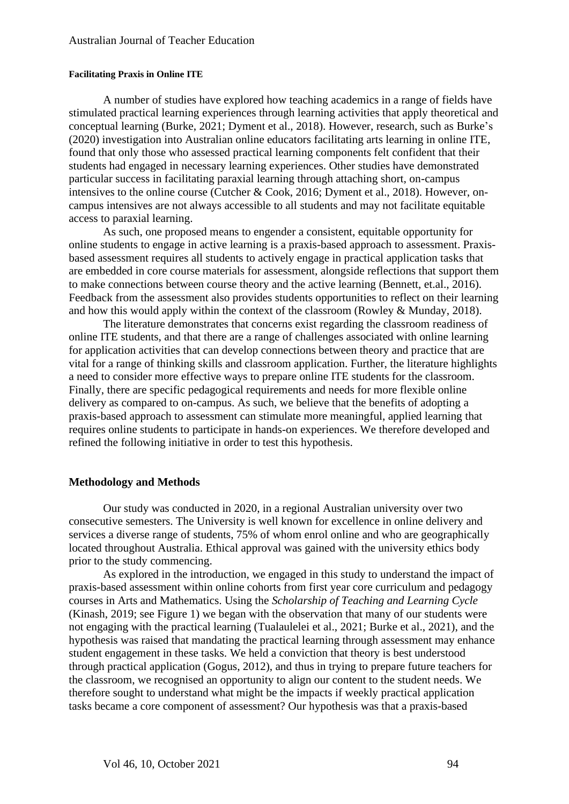#### **Facilitating Praxis in Online ITE**

A number of studies have explored how teaching academics in a range of fields have stimulated practical learning experiences through learning activities that apply theoretical and conceptual learning (Burke, 2021; Dyment et al., 2018). However, research, such as Burke's (2020) investigation into Australian online educators facilitating arts learning in online ITE, found that only those who assessed practical learning components felt confident that their students had engaged in necessary learning experiences. Other studies have demonstrated particular success in facilitating paraxial learning through attaching short, on-campus intensives to the online course (Cutcher & Cook, 2016; Dyment et al., 2018). However, oncampus intensives are not always accessible to all students and may not facilitate equitable access to paraxial learning.

As such, one proposed means to engender a consistent, equitable opportunity for online students to engage in active learning is a praxis-based approach to assessment. Praxisbased assessment requires all students to actively engage in practical application tasks that are embedded in core course materials for assessment, alongside reflections that support them to make connections between course theory and the active learning (Bennett, et.al., 2016). Feedback from the assessment also provides students opportunities to reflect on their learning and how this would apply within the context of the classroom (Rowley & Munday, 2018).

The literature demonstrates that concerns exist regarding the classroom readiness of online ITE students, and that there are a range of challenges associated with online learning for application activities that can develop connections between theory and practice that are vital for a range of thinking skills and classroom application. Further, the literature highlights a need to consider more effective ways to prepare online ITE students for the classroom. Finally, there are specific pedagogical requirements and needs for more flexible online delivery as compared to on-campus. As such, we believe that the benefits of adopting a praxis-based approach to assessment can stimulate more meaningful, applied learning that requires online students to participate in hands-on experiences. We therefore developed and refined the following initiative in order to test this hypothesis.

#### **Methodology and Methods**

Our study was conducted in 2020, in a regional Australian university over two consecutive semesters. The University is well known for excellence in online delivery and services a diverse range of students, 75% of whom enrol online and who are geographically located throughout Australia. Ethical approval was gained with the university ethics body prior to the study commencing.

As explored in the introduction, we engaged in this study to understand the impact of praxis-based assessment within online cohorts from first year core curriculum and pedagogy courses in Arts and Mathematics. Using the *Scholarship of Teaching and Learning Cycle* (Kinash, 2019; see Figure 1) we began with the observation that many of our students were not engaging with the practical learning (Tualaulelei et al., 2021; Burke et al., 2021), and the hypothesis was raised that mandating the practical learning through assessment may enhance student engagement in these tasks. We held a conviction that theory is best understood through practical application (Gogus, 2012), and thus in trying to prepare future teachers for the classroom, we recognised an opportunity to align our content to the student needs. We therefore sought to understand what might be the impacts if weekly practical application tasks became a core component of assessment? Our hypothesis was that a praxis-based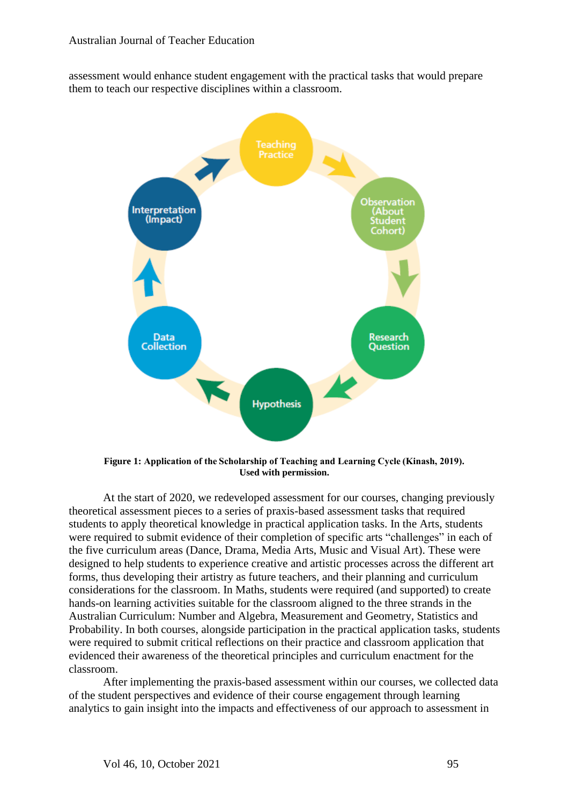assessment would enhance student engagement with the practical tasks that would prepare them to teach our respective disciplines within a classroom.



**Figure 1: Application of the Scholarship of Teaching and Learning Cycle (Kinash, 2019). Used with permission.**

At the start of 2020, we redeveloped assessment for our courses, changing previously theoretical assessment pieces to a series of praxis-based assessment tasks that required students to apply theoretical knowledge in practical application tasks. In the Arts, students were required to submit evidence of their completion of specific arts "challenges" in each of the five curriculum areas (Dance, Drama, Media Arts, Music and Visual Art). These were designed to help students to experience creative and artistic processes across the different art forms, thus developing their artistry as future teachers, and their planning and curriculum considerations for the classroom. In Maths, students were required (and supported) to create hands-on learning activities suitable for the classroom aligned to the three strands in the Australian Curriculum: Number and Algebra, Measurement and Geometry, Statistics and Probability. In both courses, alongside participation in the practical application tasks, students were required to submit critical reflections on their practice and classroom application that evidenced their awareness of the theoretical principles and curriculum enactment for the classroom.

After implementing the praxis-based assessment within our courses, we collected data of the student perspectives and evidence of their course engagement through learning analytics to gain insight into the impacts and effectiveness of our approach to assessment in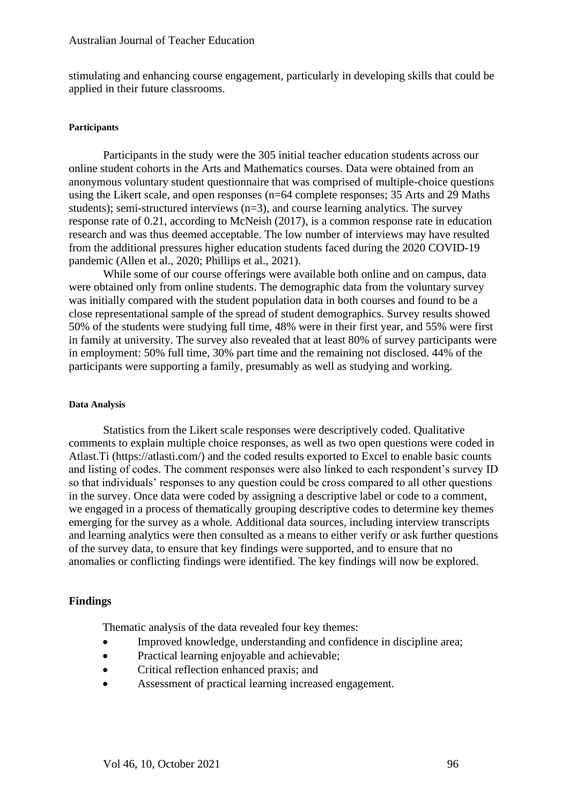stimulating and enhancing course engagement, particularly in developing skills that could be applied in their future classrooms.

#### **Participants**

Participants in the study were the 305 initial teacher education students across our online student cohorts in the Arts and Mathematics courses. Data were obtained from an anonymous voluntary student questionnaire that was comprised of multiple-choice questions using the Likert scale, and open responses (n=64 complete responses; 35 Arts and 29 Maths students); semi-structured interviews (n=3), and course learning analytics. The survey response rate of 0.21, according to McNeish (2017), is a common response rate in education research and was thus deemed acceptable. The low number of interviews may have resulted from the additional pressures higher education students faced during the 2020 COVID-19 pandemic (Allen et al., 2020; Phillips et al., 2021).

While some of our course offerings were available both online and on campus, data were obtained only from online students. The demographic data from the voluntary survey was initially compared with the student population data in both courses and found to be a close representational sample of the spread of student demographics. Survey results showed 50% of the students were studying full time, 48% were in their first year, and 55% were first in family at university. The survey also revealed that at least 80% of survey participants were in employment: 50% full time, 30% part time and the remaining not disclosed. 44% of the participants were supporting a family, presumably as well as studying and working.

#### **Data Analysis**

Statistics from the Likert scale responses were descriptively coded. Qualitative comments to explain multiple choice responses, as well as two open questions were coded in Atlast.Ti (https://atlasti.com/) and the coded results exported to Excel to enable basic counts and listing of codes. The comment responses were also linked to each respondent's survey ID so that individuals' responses to any question could be cross compared to all other questions in the survey. Once data were coded by assigning a descriptive label or code to a comment, we engaged in a process of thematically grouping descriptive codes to determine key themes emerging for the survey as a whole. Additional data sources, including interview transcripts and learning analytics were then consulted as a means to either verify or ask further questions of the survey data, to ensure that key findings were supported, and to ensure that no anomalies or conflicting findings were identified. The key findings will now be explored.

#### **Findings**

Thematic analysis of the data revealed four key themes:

- Improved knowledge, understanding and confidence in discipline area;
- Practical learning enjoyable and achievable;
- Critical reflection enhanced praxis; and
- Assessment of practical learning increased engagement.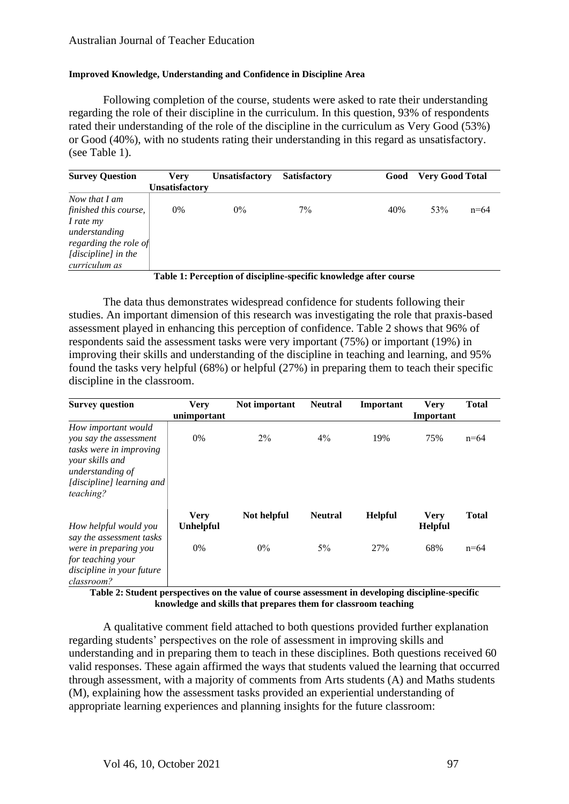#### **Improved Knowledge, Understanding and Confidence in Discipline Area**

Following completion of the course, students were asked to rate their understanding regarding the role of their discipline in the curriculum. In this question, 93% of respondents rated their understanding of the role of the discipline in the curriculum as Very Good (53%) or Good (40%), with no students rating their understanding in this regard as unsatisfactory. (see Table 1).

| <b>Survey Question</b>                                                                                                                | Verv           | <b>Unsatisfactory</b> | <b>Satisfactory</b> | Good | <b>Very Good Total</b> |        |
|---------------------------------------------------------------------------------------------------------------------------------------|----------------|-----------------------|---------------------|------|------------------------|--------|
|                                                                                                                                       | Unsatisfactory |                       |                     |      |                        |        |
| Now that I am<br>finished this course,<br>I rate my<br>understanding<br>regarding the role of<br>[discipline] in the<br>curriculum as | 0%             | $0\%$                 | $7\%$               | 40%  | 53%                    | $n=64$ |

**Table 1: Perception of discipline-specific knowledge after course**

The data thus demonstrates widespread confidence for students following their studies. An important dimension of this research was investigating the role that praxis-based assessment played in enhancing this perception of confidence. Table 2 shows that 96% of respondents said the assessment tasks were very important (75%) or important (19%) in improving their skills and understanding of the discipline in teaching and learning, and 95% found the tasks very helpful (68%) or helpful (27%) in preparing them to teach their specific discipline in the classroom.

| <b>Survey question</b>                                                                                                                                    | <b>Very</b>                     | Not important | <b>Neutral</b> | Important      | <b>Very</b>                   | <b>Total</b> |
|-----------------------------------------------------------------------------------------------------------------------------------------------------------|---------------------------------|---------------|----------------|----------------|-------------------------------|--------------|
|                                                                                                                                                           | unimportant                     |               |                |                | Important                     |              |
| How important would<br>you say the assessment<br>tasks were in improving<br>your skills and<br>understanding of<br>[discipline] learning and<br>teaching? | $0\%$                           | $2\%$         | $4\%$          | 19%            | 75%                           | $n=64$       |
| How helpful would you                                                                                                                                     | <b>Very</b><br><b>Unhelpful</b> | Not helpful   | <b>Neutral</b> | <b>Helpful</b> | <b>Very</b><br><b>Helpful</b> | <b>Total</b> |
| say the assessment tasks<br>were in preparing you<br>for teaching your<br>discipline in your future<br>classroom?                                         | 0%                              | $0\%$         | $5\%$          | 27%            | 68%                           | $n = 64$     |
| m 11 A O . 1 .                                                                                                                                            | $\cdot$ .<br><b>A H</b>         | $\bullet$     |                | $\cdots$       | .                             | • • •        |

**Table 2: Student perspectives on the value of course assessment in developing discipline-specific knowledge and skills that prepares them for classroom teaching**

A qualitative comment field attached to both questions provided further explanation regarding students' perspectives on the role of assessment in improving skills and understanding and in preparing them to teach in these disciplines. Both questions received 60 valid responses. These again affirmed the ways that students valued the learning that occurred through assessment, with a majority of comments from Arts students (A) and Maths students (M), explaining how the assessment tasks provided an experiential understanding of appropriate learning experiences and planning insights for the future classroom: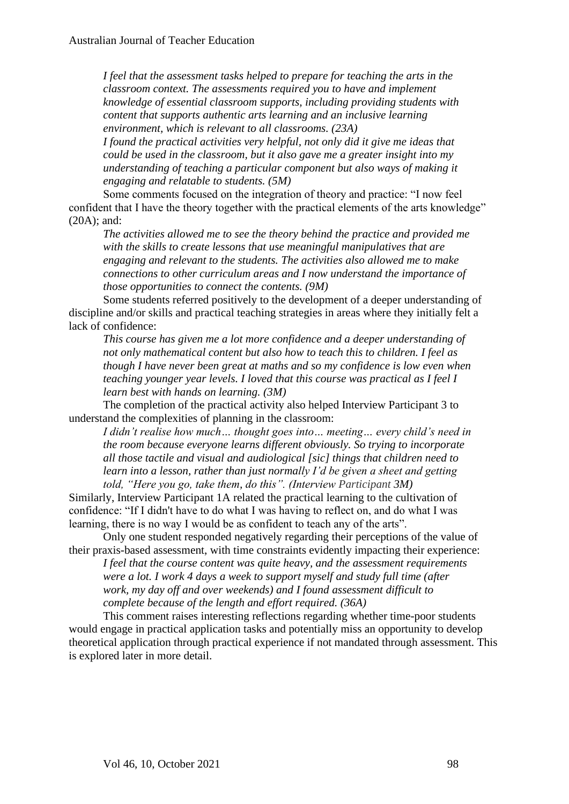*I feel that the assessment tasks helped to prepare for teaching the arts in the classroom context. The assessments required you to have and implement knowledge of essential classroom supports, including providing students with content that supports authentic arts learning and an inclusive learning environment, which is relevant to all classrooms. (23A)*

*I found the practical activities very helpful, not only did it give me ideas that could be used in the classroom, but it also gave me a greater insight into my understanding of teaching a particular component but also ways of making it engaging and relatable to students. (5M)*

Some comments focused on the integration of theory and practice: "I now feel confident that I have the theory together with the practical elements of the arts knowledge" (20A); and:

*The activities allowed me to see the theory behind the practice and provided me with the skills to create lessons that use meaningful manipulatives that are engaging and relevant to the students. The activities also allowed me to make connections to other curriculum areas and I now understand the importance of those opportunities to connect the contents. (9M)* 

Some students referred positively to the development of a deeper understanding of discipline and/or skills and practical teaching strategies in areas where they initially felt a lack of confidence:

*This course has given me a lot more confidence and a deeper understanding of not only mathematical content but also how to teach this to children. I feel as though I have never been great at maths and so my confidence is low even when teaching younger year levels. I loved that this course was practical as I feel I learn best with hands on learning. (3M)*

The completion of the practical activity also helped Interview Participant 3 to understand the complexities of planning in the classroom:

*I didn't realise how much… thought goes into… meeting… every child's need in the room because everyone learns different obviously. So trying to incorporate all those tactile and visual and audiological [sic] things that children need to learn into a lesson, rather than just normally I'd be given a sheet and getting told, "Here you go, take them, do this". (Interview Participant 3M)*

Similarly, Interview Participant 1A related the practical learning to the cultivation of confidence: "If I didn't have to do what I was having to reflect on, and do what I was learning, there is no way I would be as confident to teach any of the arts".

Only one student responded negatively regarding their perceptions of the value of their praxis-based assessment, with time constraints evidently impacting their experience:

*I feel that the course content was quite heavy, and the assessment requirements were a lot. I work 4 days a week to support myself and study full time (after work, my day off and over weekends) and I found assessment difficult to complete because of the length and effort required. (36A)*

This comment raises interesting reflections regarding whether time-poor students would engage in practical application tasks and potentially miss an opportunity to develop theoretical application through practical experience if not mandated through assessment. This is explored later in more detail.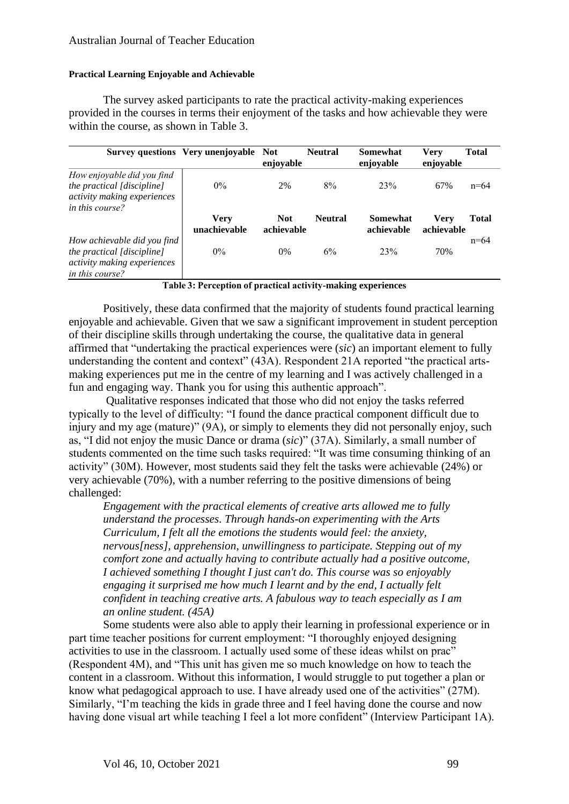#### **Practical Learning Enjoyable and Achievable**

The survey asked participants to rate the practical activity-making experiences provided in the courses in terms their enjoyment of the tasks and how achievable they were within the course, as shown in Table 3.

|                                                                                                             | Survey questions Very unenjoyable Not | enjoyable                | <b>Neutral</b> | <b>Somewhat</b><br>enjoyable | <b>Very</b><br>enjoyable | <b>Total</b> |
|-------------------------------------------------------------------------------------------------------------|---------------------------------------|--------------------------|----------------|------------------------------|--------------------------|--------------|
| How enjoyable did you find<br>the practical [discipline]<br>activity making experiences<br>in this course?  | $0\%$                                 | 2%                       | 8%             | 23%                          | 67%                      | $n=64$       |
|                                                                                                             | <b>Very</b><br>unachievable           | <b>Not</b><br>achievable | <b>Neutral</b> | Somewhat<br>achievable       | Verv<br>achievable       | Total        |
| How achievable did you find<br>the practical [discipline]<br>activity making experiences<br>in this course? | $0\%$                                 | $0\%$                    | 6%             | 23%                          | 70%                      | $n = 64$     |

**Table 3: Perception of practical activity-making experiences**

Positively, these data confirmed that the majority of students found practical learning enjoyable and achievable. Given that we saw a significant improvement in student perception of their discipline skills through undertaking the course, the qualitative data in general affirmed that "undertaking the practical experiences were (*sic*) an important element to fully understanding the content and context"  $(43A)$ . Respondent 21A reported "the practical artsmaking experiences put me in the centre of my learning and I was actively challenged in a fun and engaging way. Thank you for using this authentic approach".

Qualitative responses indicated that those who did not enjoy the tasks referred typically to the level of difficulty: "I found the dance practical component difficult due to injury and my age (mature)" (9A), or simply to elements they did not personally enjoy, such as, "I did not enjoy the music Dance or drama (*sic*)" (37A). Similarly, a small number of students commented on the time such tasks required: "It was time consuming thinking of an activity" (30M). However, most students said they felt the tasks were achievable (24%) or very achievable (70%), with a number referring to the positive dimensions of being challenged:

*Engagement with the practical elements of creative arts allowed me to fully understand the processes. Through hands-on experimenting with the Arts Curriculum, I felt all the emotions the students would feel: the anxiety, nervous[ness], apprehension, unwillingness to participate. Stepping out of my comfort zone and actually having to contribute actually had a positive outcome, I achieved something I thought I just can't do. This course was so enjoyably engaging it surprised me how much I learnt and by the end, I actually felt confident in teaching creative arts. A fabulous way to teach especially as I am an online student. (45A)*

Some students were also able to apply their learning in professional experience or in part time teacher positions for current employment: "I thoroughly enjoyed designing activities to use in the classroom. I actually used some of these ideas whilst on prac" (Respondent 4M), and "This unit has given me so much knowledge on how to teach the content in a classroom. Without this information, I would struggle to put together a plan or know what pedagogical approach to use. I have already used one of the activities" (27M). Similarly, "I'm teaching the kids in grade three and I feel having done the course and now having done visual art while teaching I feel a lot more confident" (Interview Participant 1A).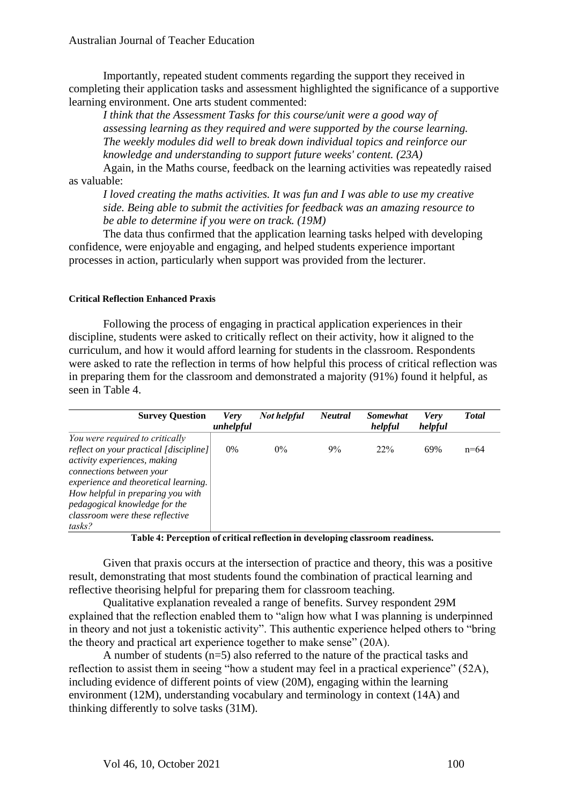Australian Journal of Teacher Education

Importantly, repeated student comments regarding the support they received in completing their application tasks and assessment highlighted the significance of a supportive learning environment. One arts student commented:

*I think that the Assessment Tasks for this course/unit were a good way of assessing learning as they required and were supported by the course learning. The weekly modules did well to break down individual topics and reinforce our knowledge and understanding to support future weeks' content. (23A)*

Again, in the Maths course, feedback on the learning activities was repeatedly raised as valuable:

*I loved creating the maths activities. It was fun and I was able to use my creative side. Being able to submit the activities for feedback was an amazing resource to be able to determine if you were on track. (19M)*

The data thus confirmed that the application learning tasks helped with developing confidence, were enjoyable and engaging, and helped students experience important processes in action, particularly when support was provided from the lecturer.

#### **Critical Reflection Enhanced Praxis**

Following the process of engaging in practical application experiences in their discipline, students were asked to critically reflect on their activity, how it aligned to the curriculum, and how it would afford learning for students in the classroom. Respondents were asked to rate the reflection in terms of how helpful this process of critical reflection was in preparing them for the classroom and demonstrated a majority (91%) found it helpful, as seen in Table 4.

| <b>Survey Question</b>                                                                                                                                                          | <b>Very</b><br>unhelpful | <b>Not helpful</b> | <b>Neutral</b> | <b>Somewhat</b><br>helpful | <b>Very</b><br>helpful | <b>Total</b> |
|---------------------------------------------------------------------------------------------------------------------------------------------------------------------------------|--------------------------|--------------------|----------------|----------------------------|------------------------|--------------|
| You were required to critically                                                                                                                                                 |                          |                    |                |                            |                        |              |
| reflect on your practical [discipline]<br>activity experiences, making<br>connections between your<br>experience and theoretical learning.<br>How helpful in preparing you with | 0%                       | $0\%$              | 9%             | 22%                        | 69%                    | $n=64$       |
| pedagogical knowledge for the<br>classroom were these reflective<br>tasks?                                                                                                      |                          |                    |                |                            |                        |              |

**Table 4: Perception of critical reflection in developing classroom readiness.**

Given that praxis occurs at the intersection of practice and theory, this was a positive result, demonstrating that most students found the combination of practical learning and reflective theorising helpful for preparing them for classroom teaching.

Qualitative explanation revealed a range of benefits. Survey respondent 29M explained that the reflection enabled them to "align how what I was planning is underpinned in theory and not just a tokenistic activity". This authentic experience helped others to "bring the theory and practical art experience together to make sense" (20A).

A number of students (n=5) also referred to the nature of the practical tasks and reflection to assist them in seeing "how a student may feel in a practical experience" (52A), including evidence of different points of view (20M), engaging within the learning environment (12M), understanding vocabulary and terminology in context (14A) and thinking differently to solve tasks (31M).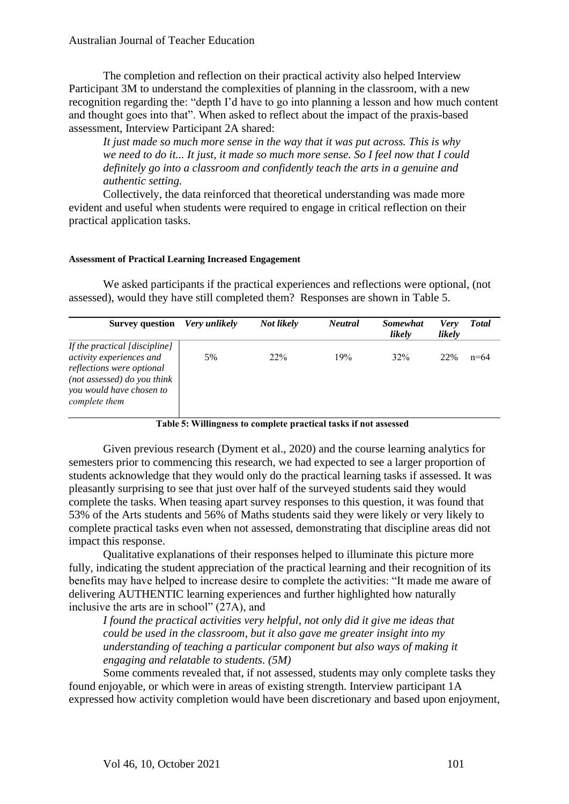The completion and reflection on their practical activity also helped Interview Participant 3M to understand the complexities of planning in the classroom, with a new recognition regarding the: "depth I'd have to go into planning a lesson and how much content and thought goes into that". When asked to reflect about the impact of the praxis-based assessment, Interview Participant 2A shared:

*It just made so much more sense in the way that it was put across. This is why we need to do it... It just, it made so much more sense. So I feel now that I could definitely go into a classroom and confidently teach the arts in a genuine and authentic setting.*

Collectively, the data reinforced that theoretical understanding was made more evident and useful when students were required to engage in critical reflection on their practical application tasks.

#### **Assessment of Practical Learning Increased Engagement**

We asked participants if the practical experiences and reflections were optional, (not assessed), would they have still completed them? Responses are shown in Table 5.

| <b>Survey question</b>                                                                                                                                             | Very unlikely | Not likely      | <b>Neutral</b> | <b>Somewhat</b><br>likely | <b>Verv</b><br>likely | Total    |
|--------------------------------------------------------------------------------------------------------------------------------------------------------------------|---------------|-----------------|----------------|---------------------------|-----------------------|----------|
| If the practical [discipline]<br>activity experiences and<br>reflections were optional<br>(not assessed) do you think<br>you would have chosen to<br>complete them | 5%            | 22 <sup>%</sup> | 19%            | 32%                       | 22%                   | $n = 64$ |

## **Table 5: Willingness to complete practical tasks if not assessed**

Given previous research (Dyment et al., 2020) and the course learning analytics for semesters prior to commencing this research, we had expected to see a larger proportion of students acknowledge that they would only do the practical learning tasks if assessed. It was pleasantly surprising to see that just over half of the surveyed students said they would complete the tasks. When teasing apart survey responses to this question, it was found that 53% of the Arts students and 56% of Maths students said they were likely or very likely to complete practical tasks even when not assessed, demonstrating that discipline areas did not impact this response.

Qualitative explanations of their responses helped to illuminate this picture more fully, indicating the student appreciation of the practical learning and their recognition of its benefits may have helped to increase desire to complete the activities: "It made me aware of delivering AUTHENTIC learning experiences and further highlighted how naturally inclusive the arts are in school" (27A), and

*I found the practical activities very helpful, not only did it give me ideas that could be used in the classroom, but it also gave me greater insight into my understanding of teaching a particular component but also ways of making it engaging and relatable to students. (5M)*

Some comments revealed that, if not assessed, students may only complete tasks they found enjoyable, or which were in areas of existing strength. Interview participant 1A expressed how activity completion would have been discretionary and based upon enjoyment,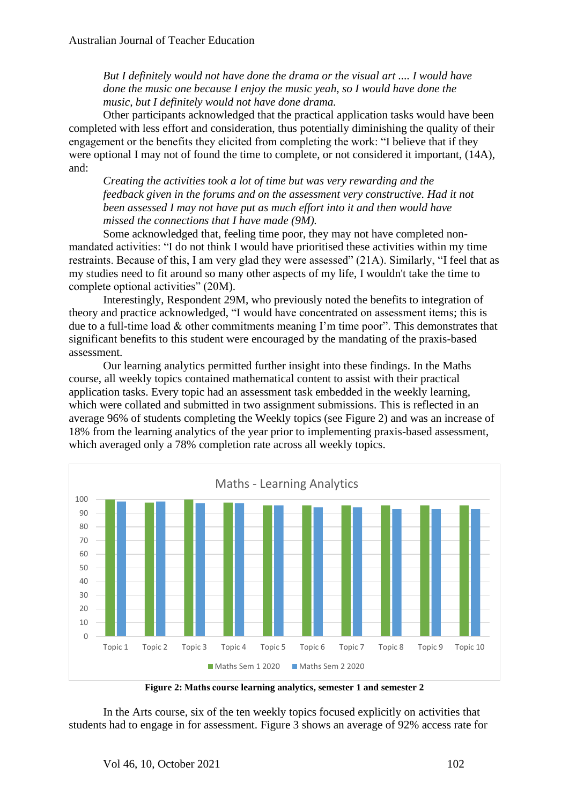*But I definitely would not have done the drama or the visual art .... I would have done the music one because I enjoy the music yeah, so I would have done the music, but I definitely would not have done drama.* 

Other participants acknowledged that the practical application tasks would have been completed with less effort and consideration, thus potentially diminishing the quality of their engagement or the benefits they elicited from completing the work: "I believe that if they were optional I may not of found the time to complete, or not considered it important, (14A), and:

*Creating the activities took a lot of time but was very rewarding and the feedback given in the forums and on the assessment very constructive. Had it not been assessed I may not have put as much effort into it and then would have missed the connections that I have made (9M).* 

Some acknowledged that, feeling time poor, they may not have completed nonmandated activities: "I do not think I would have prioritised these activities within my time restraints. Because of this, I am very glad they were assessed" (21A). Similarly, "I feel that as my studies need to fit around so many other aspects of my life, I wouldn't take the time to complete optional activities" (20M).

Interestingly, Respondent 29M, who previously noted the benefits to integration of theory and practice acknowledged, "I would have concentrated on assessment items; this is due to a full-time load & other commitments meaning I'm time poor". This demonstrates that significant benefits to this student were encouraged by the mandating of the praxis-based assessment.

Our learning analytics permitted further insight into these findings. In the Maths course, all weekly topics contained mathematical content to assist with their practical application tasks. Every topic had an assessment task embedded in the weekly learning, which were collated and submitted in two assignment submissions. This is reflected in an average 96% of students completing the Weekly topics (see Figure 2) and was an increase of 18% from the learning analytics of the year prior to implementing praxis-based assessment, which averaged only a 78% completion rate across all weekly topics.



**Figure 2: Maths course learning analytics, semester 1 and semester 2**

In the Arts course, six of the ten weekly topics focused explicitly on activities that students had to engage in for assessment. Figure 3 shows an average of 92% access rate for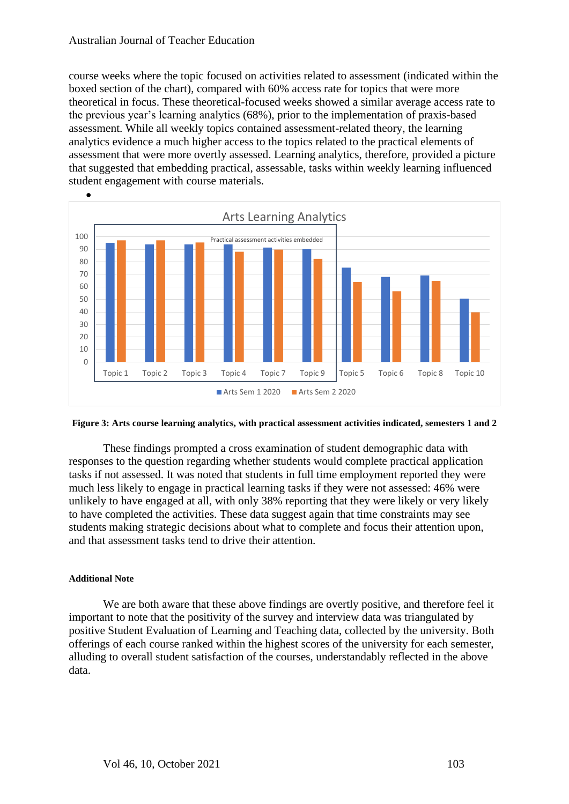#### Australian Journal of Teacher Education

course weeks where the topic focused on activities related to assessment (indicated within the boxed section of the chart), compared with 60% access rate for topics that were more theoretical in focus. These theoretical-focused weeks showed a similar average access rate to the previous year's learning analytics (68%), prior to the implementation of praxis-based assessment. While all weekly topics contained assessment-related theory, the learning analytics evidence a much higher access to the topics related to the practical elements of assessment that were more overtly assessed. Learning analytics, therefore, provided a picture that suggested that embedding practical, assessable, tasks within weekly learning influenced student engagement with course materials.



**Figure 3: Arts course learning analytics, with practical assessment activities indicated, semesters 1 and 2**

These findings prompted a cross examination of student demographic data with responses to the question regarding whether students would complete practical application tasks if not assessed. It was noted that students in full time employment reported they were much less likely to engage in practical learning tasks if they were not assessed: 46% were unlikely to have engaged at all, with only 38% reporting that they were likely or very likely to have completed the activities. These data suggest again that time constraints may see students making strategic decisions about what to complete and focus their attention upon, and that assessment tasks tend to drive their attention.

#### **Additional Note**

We are both aware that these above findings are overtly positive, and therefore feel it important to note that the positivity of the survey and interview data was triangulated by positive Student Evaluation of Learning and Teaching data, collected by the university. Both offerings of each course ranked within the highest scores of the university for each semester, alluding to overall student satisfaction of the courses, understandably reflected in the above data.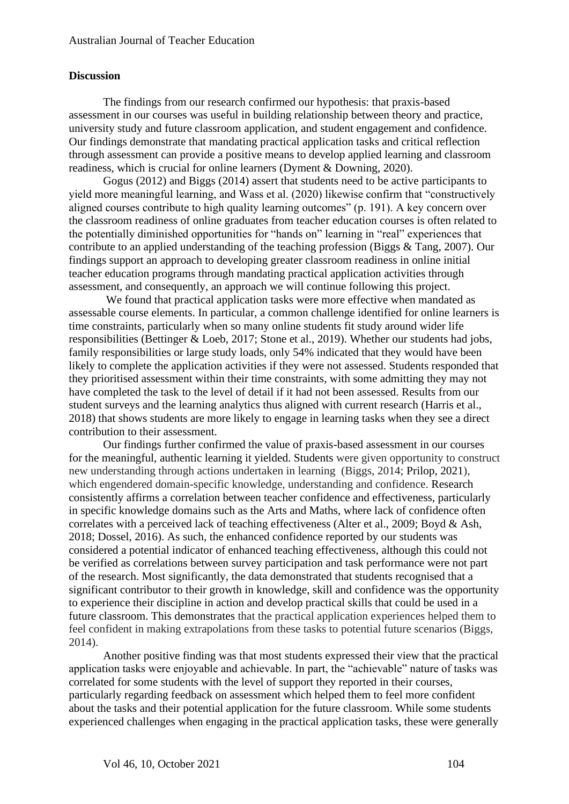## **Discussion**

The findings from our research confirmed our hypothesis: that praxis-based assessment in our courses was useful in building relationship between theory and practice, university study and future classroom application, and student engagement and confidence. Our findings demonstrate that mandating practical application tasks and critical reflection through assessment can provide a positive means to develop applied learning and classroom readiness, which is crucial for online learners (Dyment & Downing, 2020).

Gogus (2012) and Biggs (2014) assert that students need to be active participants to yield more meaningful learning, and Wass et al. (2020) likewise confirm that "constructively aligned courses contribute to high quality learning outcomes" (p. 191). A key concern over the classroom readiness of online graduates from teacher education courses is often related to the potentially diminished opportunities for "hands on" learning in "real" experiences that contribute to an applied understanding of the teaching profession (Biggs & Tang, 2007). Our findings support an approach to developing greater classroom readiness in online initial teacher education programs through mandating practical application activities through assessment, and consequently, an approach we will continue following this project.

We found that practical application tasks were more effective when mandated as assessable course elements. In particular, a common challenge identified for online learners is time constraints, particularly when so many online students fit study around wider life responsibilities (Bettinger & Loeb, 2017; Stone et al., 2019). Whether our students had jobs, family responsibilities or large study loads, only 54% indicated that they would have been likely to complete the application activities if they were not assessed. Students responded that they prioritised assessment within their time constraints, with some admitting they may not have completed the task to the level of detail if it had not been assessed. Results from our student surveys and the learning analytics thus aligned with current research (Harris et al., 2018) that shows students are more likely to engage in learning tasks when they see a direct contribution to their assessment.

Our findings further confirmed the value of praxis-based assessment in our courses for the meaningful, authentic learning it yielded. Students were given opportunity to construct new understanding through actions undertaken in learning (Biggs, 2014; Prilop, 2021), which engendered domain-specific knowledge, understanding and confidence. Research consistently affirms a correlation between teacher confidence and effectiveness, particularly in specific knowledge domains such as the Arts and Maths, where lack of confidence often correlates with a perceived lack of teaching effectiveness (Alter et al., 2009; Boyd & Ash, 2018; Dossel, 2016). As such, the enhanced confidence reported by our students was considered a potential indicator of enhanced teaching effectiveness, although this could not be verified as correlations between survey participation and task performance were not part of the research. Most significantly, the data demonstrated that students recognised that a significant contributor to their growth in knowledge, skill and confidence was the opportunity to experience their discipline in action and develop practical skills that could be used in a future classroom. This demonstrates that the practical application experiences helped them to feel confident in making extrapolations from these tasks to potential future scenarios (Biggs, 2014).

Another positive finding was that most students expressed their view that the practical application tasks were enjoyable and achievable. In part, the "achievable" nature of tasks was correlated for some students with the level of support they reported in their courses, particularly regarding feedback on assessment which helped them to feel more confident about the tasks and their potential application for the future classroom. While some students experienced challenges when engaging in the practical application tasks, these were generally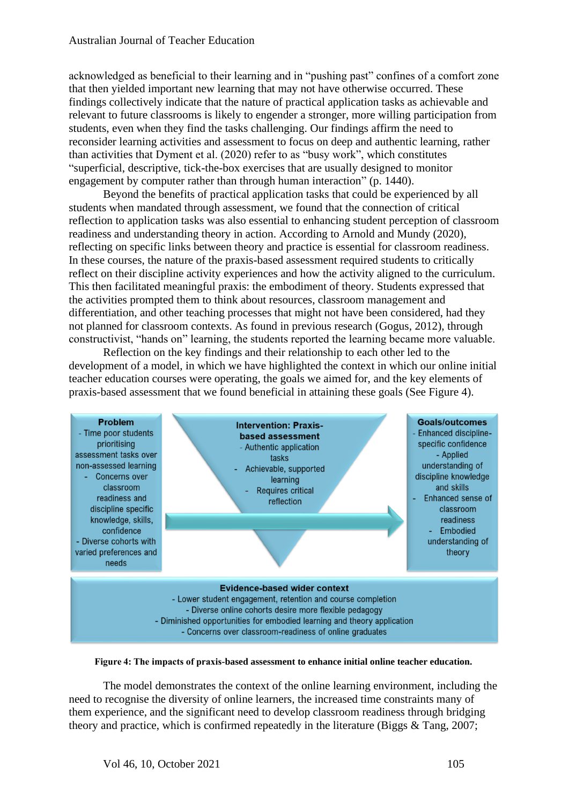acknowledged as beneficial to their learning and in "pushing past" confines of a comfort zone that then yielded important new learning that may not have otherwise occurred. These findings collectively indicate that the nature of practical application tasks as achievable and relevant to future classrooms is likely to engender a stronger, more willing participation from students, even when they find the tasks challenging. Our findings affirm the need to reconsider learning activities and assessment to focus on deep and authentic learning, rather than activities that Dyment et al. (2020) refer to as "busy work", which constitutes "superficial, descriptive, tick-the-box exercises that are usually designed to monitor engagement by computer rather than through human interaction" (p. 1440).

Beyond the benefits of practical application tasks that could be experienced by all students when mandated through assessment, we found that the connection of critical reflection to application tasks was also essential to enhancing student perception of classroom readiness and understanding theory in action. According to Arnold and Mundy (2020), reflecting on specific links between theory and practice is essential for classroom readiness. In these courses, the nature of the praxis-based assessment required students to critically reflect on their discipline activity experiences and how the activity aligned to the curriculum. This then facilitated meaningful praxis: the embodiment of theory. Students expressed that the activities prompted them to think about resources, classroom management and differentiation, and other teaching processes that might not have been considered, had they not planned for classroom contexts. As found in previous research (Gogus, 2012), through constructivist, "hands on" learning, the students reported the learning became more valuable.

Reflection on the key findings and their relationship to each other led to the development of a model, in which we have highlighted the context in which our online initial teacher education courses were operating, the goals we aimed for, and the key elements of praxis-based assessment that we found beneficial in attaining these goals (See Figure 4).



**Figure 4: The impacts of praxis-based assessment to enhance initial online teacher education.**

The model demonstrates the context of the online learning environment, including the need to recognise the diversity of online learners, the increased time constraints many of them experience, and the significant need to develop classroom readiness through bridging theory and practice, which is confirmed repeatedly in the literature (Biggs & Tang, 2007;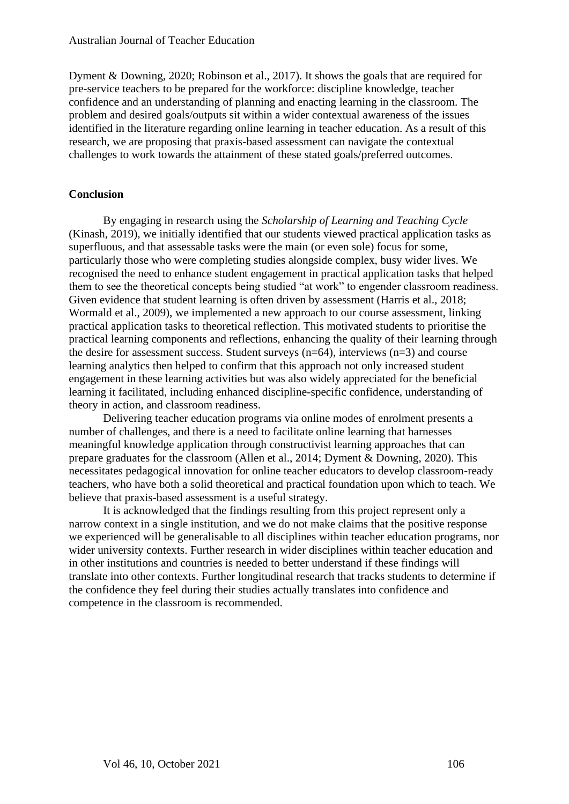Dyment & Downing, 2020; Robinson et al., 2017). It shows the goals that are required for pre-service teachers to be prepared for the workforce: discipline knowledge, teacher confidence and an understanding of planning and enacting learning in the classroom. The problem and desired goals/outputs sit within a wider contextual awareness of the issues identified in the literature regarding online learning in teacher education. As a result of this research, we are proposing that praxis-based assessment can navigate the contextual challenges to work towards the attainment of these stated goals/preferred outcomes.

# **Conclusion**

By engaging in research using the *Scholarship of Learning and Teaching Cycle*  (Kinash, 2019), we initially identified that our students viewed practical application tasks as superfluous, and that assessable tasks were the main (or even sole) focus for some, particularly those who were completing studies alongside complex, busy wider lives. We recognised the need to enhance student engagement in practical application tasks that helped them to see the theoretical concepts being studied "at work" to engender classroom readiness. Given evidence that student learning is often driven by assessment (Harris et al., 2018; Wormald et al., 2009), we implemented a new approach to our course assessment, linking practical application tasks to theoretical reflection. This motivated students to prioritise the practical learning components and reflections, enhancing the quality of their learning through the desire for assessment success. Student surveys  $(n=64)$ , interviews  $(n=3)$  and course learning analytics then helped to confirm that this approach not only increased student engagement in these learning activities but was also widely appreciated for the beneficial learning it facilitated, including enhanced discipline-specific confidence, understanding of theory in action, and classroom readiness.

Delivering teacher education programs via online modes of enrolment presents a number of challenges, and there is a need to facilitate online learning that harnesses meaningful knowledge application through constructivist learning approaches that can prepare graduates for the classroom (Allen et al., 2014; Dyment & Downing, 2020). This necessitates pedagogical innovation for online teacher educators to develop classroom-ready teachers, who have both a solid theoretical and practical foundation upon which to teach. We believe that praxis-based assessment is a useful strategy.

It is acknowledged that the findings resulting from this project represent only a narrow context in a single institution, and we do not make claims that the positive response we experienced will be generalisable to all disciplines within teacher education programs, nor wider university contexts. Further research in wider disciplines within teacher education and in other institutions and countries is needed to better understand if these findings will translate into other contexts. Further longitudinal research that tracks students to determine if the confidence they feel during their studies actually translates into confidence and competence in the classroom is recommended.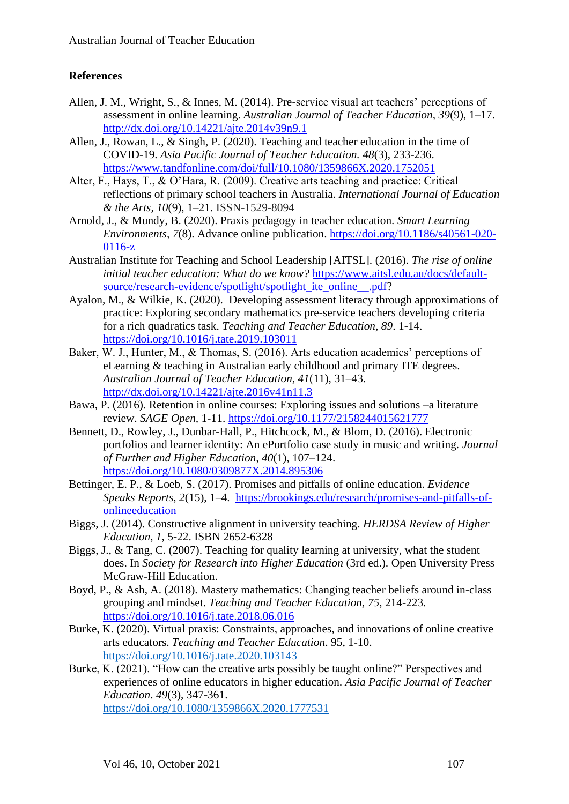# **References**

- Allen, J. M., Wright, S., & Innes, M. (2014). Pre-service visual art teachers' perceptions of assessment in online learning. *Australian Journal of Teacher Education, 39*(9), 1–17. <http://dx.doi.org/10.14221/ajte.2014v39n9.1>
- Allen, J., Rowan, L., & Singh, P. (2020). Teaching and teacher education in the time of COVID-19. *Asia Pacific Journal of Teacher Education. 48*(3), 233-236. <https://www.tandfonline.com/doi/full/10.1080/1359866X.2020.1752051>
- Alter, F., Hays, T., & O'Hara, R. (2009). Creative arts teaching and practice: Critical reflections of primary school teachers in Australia. *International Journal of Education & the Arts, 10*(9), 1–21. ISSN-1529-8094
- Arnold, J., & Mundy, B. (2020). Praxis pedagogy in teacher education. *Smart Learning Environments, 7*(8). Advance online publication. [https://doi.org/10.1186/s40561-020-](https://doi.org/10.1186/s40561-020-0116-z) [0116-z](https://doi.org/10.1186/s40561-020-0116-z)
- Australian Institute for Teaching and School Leadership [AITSL]. (2016). *The rise of online initial teacher education: What do we know?* [https://www.aitsl.edu.au/docs/default](https://www.aitsl.edu.au/docs/default-source/research-evidence/spotlight/spotlight_ite_online__.pdf)[source/research-evidence/spotlight/spotlight\\_ite\\_online\\_\\_.pdf?](https://www.aitsl.edu.au/docs/default-source/research-evidence/spotlight/spotlight_ite_online__.pdf)
- Ayalon, M., & Wilkie, K. (2020). Developing assessment literacy through approximations of practice: Exploring secondary mathematics pre-service teachers developing criteria for a rich quadratics task. *Teaching and Teacher Education, 89*. 1-14. <https://doi.org/10.1016/j.tate.2019.103011>
- Baker, W. J., Hunter, M., & Thomas, S. (2016). Arts education academics' perceptions of eLearning & teaching in Australian early childhood and primary ITE degrees. *Australian Journal of Teacher Education, 41*(11), 31–43. <http://dx.doi.org/10.14221/ajte.2016v41n11.3>
- Bawa, P. (2016). Retention in online courses: Exploring issues and solutions –a literature review. *SAGE Open,* 1-11. [https://doi.org/10.1177/2158244015621777](https://doi.org/10.1177%2F2158244015621777)
- Bennett, D., Rowley, J., Dunbar-Hall, P., Hitchcock, M., & Blom, D. (2016). Electronic portfolios and learner identity: An ePortfolio case study in music and writing. *Journal of Further and Higher Education, 40*(1), 107–124. <https://doi.org/10.1080/0309877X.2014.895306>
- Bettinger, E. P., & Loeb, S. (2017). Promises and pitfalls of online education. *Evidence Speaks Reports, 2*(15), 1–4. [https://brookings.edu/research/promises-and-pitfalls-of](https://brookings.edu/research/promises-and-pitfalls-of-onlineeducation)[onlineeducation](https://brookings.edu/research/promises-and-pitfalls-of-onlineeducation)
- Biggs, J. (2014). Constructive alignment in university teaching. *HERDSA Review of Higher Education, 1,* 5-22. ISBN 2652-6328
- Biggs, J., & Tang, C. (2007). Teaching for quality learning at university, what the student does. In *Society for Research into Higher Education* (3rd ed.). Open University Press McGraw-Hill Education.
- Boyd, P., & Ash, A. (2018). Mastery mathematics: Changing teacher beliefs around in-class grouping and mindset. *Teaching and Teacher Education, 75*, 214-223. <https://doi.org/10.1016/j.tate.2018.06.016>
- Burke, K. (2020). Virtual praxis: Constraints, approaches, and innovations of online creative arts educators. *Teaching and Teacher Education*. 95, 1-10. <https://doi.org/10.1016/j.tate.2020.103143>
- Burke, K. (2021). "How can the creative arts possibly be taught online?" Perspectives and experiences of online educators in higher education. *Asia Pacific Journal of Teacher Education*. *49*(3), 347-361. <https://doi.org/10.1080/1359866X.2020.1777531>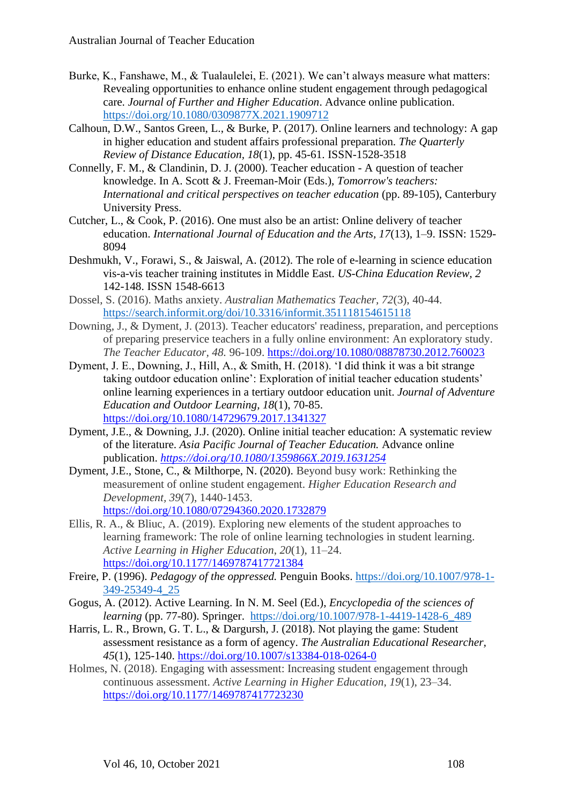- Burke, K., Fanshawe, M., & Tualaulelei, E. (2021). We can't always measure what matters: Revealing opportunities to enhance online student engagement through pedagogical care. *Journal of Further and Higher Education*. Advance online publication. <https://doi.org/10.1080/0309877X.2021.1909712>
- Calhoun, D.W., Santos Green, L., & Burke, P. (2017). Online learners and technology: A gap in higher education and student affairs professional preparation. *The Quarterly Review of Distance Education, 18*(1), pp. 45-61. ISSN-1528-3518
- Connelly, F. M., & Clandinin, D. J. (2000). Teacher education A question of teacher knowledge. In A. Scott & J. Freeman-Moir (Eds.), *Tomorrow's teachers: International and critical perspectives on teacher education* (pp. 89-105), Canterbury University Press.
- Cutcher, L., & Cook, P. (2016). One must also be an artist: Online delivery of teacher education. *International Journal of Education and the Arts, 17*(13), 1–9. ISSN: 1529- 8094
- Deshmukh, V., Forawi, S., & Jaiswal, A. (2012). The role of e-learning in science education vis-a-vis teacher training institutes in Middle East. *US-China Education Review, 2* 142-148. ISSN 1548-6613
- Dossel, S. (2016). Maths anxiety. *Australian Mathematics Teacher, 72*(3), 40-44. <https://search.informit.org/doi/10.3316/informit.351118154615118>
- Downing, J., & Dyment, J. (2013). Teacher educators' readiness, preparation, and perceptions of preparing preservice teachers in a fully online environment: An exploratory study. *The Teacher Educator, 48.* 96-109.<https://doi.org/10.1080/08878730.2012.760023>
- Dyment, J. E., Downing, J., Hill, A., & Smith, H. (2018). 'I did think it was a bit strange taking outdoor education online': Exploration of initial teacher education students' online learning experiences in a tertiary outdoor education unit. *Journal of Adventure Education and Outdoor Learning, 18*(1), 70-85. <https://doi.org/10.1080/14729679.2017.1341327>
- Dyment, J.E., & Downing, J.J. (2020). Online initial teacher education: A systematic review of the literature. *Asia Pacific Journal of Teacher Education.* Advance online publication. *<https://doi.org/10.1080/1359866X.2019.1631254>*
- Dyment, J.E., Stone, C., & Milthorpe, N. (2020). Beyond busy work: Rethinking the measurement of online student engagement. *Higher Education Research and Development, 39*(7), 1440-1453. <https://doi.org/10.1080/07294360.2020.1732879>
- Ellis, R. A., & Bliuc, A. (2019). Exploring new elements of the student approaches to learning framework: The role of online learning technologies in student learning. *Active Learning in Higher Education*, *20*(1), 11–24. <https://doi.org/10.1177/1469787417721384>
- Freire, P. (1996). *Pedagogy of the oppressed.* Penguin Books. [https://doi.org/10.1007/978-1-](https://doi.org/10.1007/978-1-349-25349-4_25) [349-25349-4\\_25](https://doi.org/10.1007/978-1-349-25349-4_25)
- Gogus, A. (2012). Active Learning. In N. M. Seel (Ed.), *Encyclopedia of the sciences of learning* (pp. 77-80). Springer. https://doi.org/10.1007/978-1-4419-1428-6 489
- Harris, L. R., Brown, G. T. L., & Dargursh, J. (2018). Not playing the game: Student assessment resistance as a form of agency. *The Australian Educational Researcher, 45*(1), 125-140.<https://doi.org/10.1007/s13384-018-0264-0>
- Holmes, N. (2018). Engaging with assessment: Increasing student engagement through continuous assessment. *Active Learning in Higher Education*, *19*(1), 23–34. <https://doi.org/10.1177/1469787417723230>